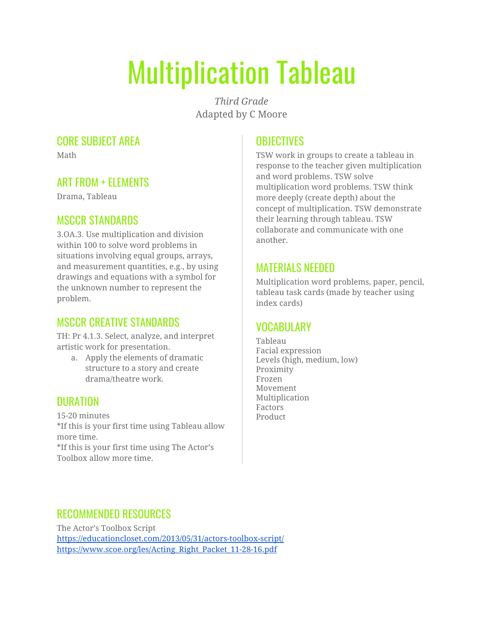# Multiplication Tableau

*Third Grade* Adapted by C Moore

#### CORE SUBJECT AREA

Math

#### ART FROM + ELEMENTS

Drama, Tableau

#### MSCCR STANDARDS

3.OA.3. Use multiplication and division within 100 to solve word problems in situations involving equal groups, arrays, and measurement quantities, e.g., by using drawings and equations with a symbol for the unknown number to represent the problem.

# MSCCR CREATIVE STANDARDS

TH: Pr 4.1.3. Select, analyze, and interpret artistic work for presentation.

a. Apply the elements of dramatic structure to a story and create drama/theatre work.

# **DURATION**

15-20 minutes \*If this is your first time using Tableau allow more time. \*If this is your first time using The Actor's Toolbox allow more time.

# **OBJECTIVES**

TSW work in groups to create a tableau in response to the teacher given multiplication and word problems. TSW solve multiplication word problems. TSW think more deeply (create depth) about the concept of multiplication. TSW demonstrate their learning through tableau. TSW collaborate and communicate with one another.

#### MATERIALS NEEDED

Multiplication word problems, paper, pencil, tableau task cards (made by teacher using index cards)

# VOCARIII ARY

Tableau Facial expression Levels (high, medium, low) Proximity Frozen Movement Multiplication Factors Product

#### RECOMMENDED RESOURCES

The Actor's Toolbox Script <https://educationcloset.com/2013/05/31/actors-toolbox-script/> [https://www.scoe.org/les/Acting\\_Right\\_Packet\\_11-28-16.pdf](https://www.scoe.org/les/Acting_Right_Packet_11-28-16.pdf)